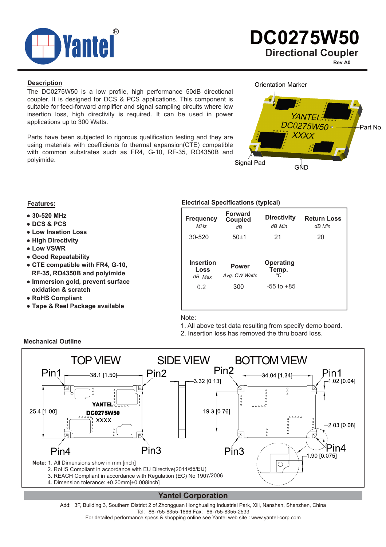

**Rev A0**

**Description**

The DC0275W50 is a low profile, high performance 50dB directional coupler. It is designed for DCS & PCS applications. This component is suitable for feed-forward amplifier and signal sampling circuits where low insertion loss, high directivity is required. It can be used in power applications up to 300 Watts.

Parts have been subjected to rigorous qualification testing and they are using materials with coefficients fo thermal expansion(CTE) compatible with common substrates such as FR4, G-10, RF-35, RO4350B and polyimide.

Orientation Marker



- **● 30-520 MHz**
- **● DCS & PCS**
- **● Low Insetion Loss**
- **● High Directivity**
- **● Low VSWR**
- **● Good Repeatability**
- **● CTE compatible with FR4, G-10, RF-35, RO4350B and polyimide**
- **● Immersion gold, prevent surface oxidation & scratch**
- **● RoHS Compliant**
- **● Tape & Reel Package available**

# **Features: Electrical Specifications (typical)**

| <b>Frequency</b><br><b>MHz</b>     | <b>Forward</b><br><b>Coupled</b><br>dB | <b>Directivity</b><br>dB Min    | <b>Return Loss</b><br>dB Min |
|------------------------------------|----------------------------------------|---------------------------------|------------------------------|
| 30-520                             | $50+1$                                 | 21                              | 20                           |
|                                    |                                        |                                 |                              |
| <b>Insertion</b><br>Loss<br>dB Max | <b>Power</b><br>Avg. CW Watts          | <b>Operating</b><br>Temp.<br>°C |                              |
| 0.2                                | 300                                    | $-55$ to $+85$                  |                              |

Note:

- 1. All above test data resulting from specify demo board.
- 2. Insertion loss has removed the thru board loss.



# **Yantel Corporation**

Add: 3F, Building 3, Southern District 2 of Zhongguan Honghualing Industrial Park, Xili, Nanshan, Shenzhen, China Tel: 86-755-8355-1886 Fax: 86-755-8355-2533

For detailed performance specs & shopping online see Yantel web site : www.yantel-corp.com

#### **Mechanical Outline**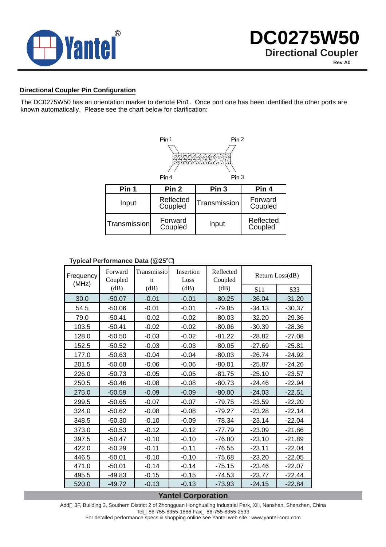

### **Directional Coupler Pin Configuration**

The DC0275W50 has an orientation marker to denote Pin1. Once port one has been identified the other ports are known automatically. Please see the chart below for clarification:



#### **Typical Performance Data (@25 )**

| $\frac{1}{2}$ $\frac{1}{2}$ $\frac{1}{2}$ $\frac{1}{2}$ $\frac{1}{2}$ $\frac{1}{2}$ $\frac{1}{2}$ $\frac{1}{2}$ $\frac{1}{2}$ $\frac{1}{2}$ $\frac{1}{2}$ $\frac{1}{2}$ $\frac{1}{2}$ $\frac{1}{2}$ $\frac{1}{2}$ $\frac{1}{2}$ $\frac{1}{2}$ $\frac{1}{2}$ $\frac{1}{2}$ $\frac{1}{2}$ $\frac{1}{2}$ $\frac{1}{2}$ |                    |                            |                   |                      |                 |          |
|---------------------------------------------------------------------------------------------------------------------------------------------------------------------------------------------------------------------------------------------------------------------------------------------------------------------|--------------------|----------------------------|-------------------|----------------------|-----------------|----------|
| Frequency<br>(MHz)                                                                                                                                                                                                                                                                                                  | Forward<br>Coupled | Transmissio<br>$\mathbf n$ | Insertion<br>Loss | Reflected<br>Coupled | Return Loss(dB) |          |
|                                                                                                                                                                                                                                                                                                                     | (dB)               | (dB)                       | (dB)              | (dB)                 | S11             | S33      |
| 30.0                                                                                                                                                                                                                                                                                                                | $-50.07$           | $-0.01$                    | $-0.01$           | $-80.25$             | $-36.04$        | $-31.20$ |
| 54.5                                                                                                                                                                                                                                                                                                                | $-50.06$           | $-0.01$                    | $-0.01$           | $-79.85$             | $-34.13$        | $-30.37$ |
| 79.0                                                                                                                                                                                                                                                                                                                | $-50.41$           | $-0.02$                    | $-0.02$           | $-80.03$             | $-32.20$        | $-29.36$ |
| 103.5                                                                                                                                                                                                                                                                                                               | $-50.41$           | $-0.02$                    | $-0.02$           | $-80.06$             | $-30.39$        | $-28.36$ |
| 128.0                                                                                                                                                                                                                                                                                                               | $-50.50$           | $-0.03$                    | $-0.02$           | $-81.22$             | $-28.82$        | $-27.08$ |
| 152.5                                                                                                                                                                                                                                                                                                               | $-50.52$           | $-0.03$                    | $-0.03$           | $-80.05$             | $-27.69$        | $-25.81$ |
| 177.0                                                                                                                                                                                                                                                                                                               | $-50.63$           | $-0.04$                    | $-0.04$           | $-80.03$             | $-26.74$        | $-24.92$ |
| 201.5                                                                                                                                                                                                                                                                                                               | $-50.68$           | $-0.06$                    | $-0.06$           | $-80.01$             | $-25.87$        | $-24.26$ |
| 226.0                                                                                                                                                                                                                                                                                                               | $-50.73$           | $-0.05$                    | $-0.05$           | $-81.75$             | $-25.10$        | $-23.57$ |
| 250.5                                                                                                                                                                                                                                                                                                               | $-50.46$           | $-0.08$                    | $-0.08$           | $-80.73$             | $-24.46$        | $-22.94$ |
| 275.0                                                                                                                                                                                                                                                                                                               | $-50.59$           | $-0.09$                    | $-0.09$           | $-80.00$             | $-24.03$        | $-22.51$ |
| 299.5                                                                                                                                                                                                                                                                                                               | $-50.65$           | $-0.07$                    | $-0.07$           | $-79.75$             | $-23.59$        | $-22.20$ |
| 324.0                                                                                                                                                                                                                                                                                                               | $-50.62$           | $-0.08$                    | $-0.08$           | $-79.27$             | $-23.28$        | $-22.14$ |
| 348.5                                                                                                                                                                                                                                                                                                               | $-50.30$           | $-0.10$                    | $-0.09$           | $-78.34$             | $-23.14$        | $-22.04$ |
| 373.0                                                                                                                                                                                                                                                                                                               | $-50.53$           | $-0.12$                    | $-0.12$           | $-77.79$             | $-23.09$        | $-21.86$ |
| 397.5                                                                                                                                                                                                                                                                                                               | $-50.47$           | $-0.10$                    | $-0.10$           | $-76.80$             | $-23.10$        | $-21.89$ |
| 422.0                                                                                                                                                                                                                                                                                                               | $-50.29$           | $-0.11$                    | $-0.11$           | $-76.55$             | $-23.11$        | $-22.04$ |
| 446.5                                                                                                                                                                                                                                                                                                               | $-50.01$           | $-0.10$                    | $-0.10$           | $-75.68$             | $-23.20$        | $-22.05$ |
| 471.0                                                                                                                                                                                                                                                                                                               | $-50.01$           | $-0.14$                    | $-0.14$           | $-75.15$             | $-23.46$        | $-22.07$ |
| 495.5                                                                                                                                                                                                                                                                                                               | $-49.83$           | $-0.15$                    | $-0.15$           | $-74.53$             | $-23.77$        | $-22.44$ |
| 520.0                                                                                                                                                                                                                                                                                                               | $-49.72$           | $-0.13$                    | $-0.13$           | $-73.93$             | $-24.15$        | $-22.84$ |

# **Yantel Corporation**

Add 3F, Building 3, Southern District 2 of Zhongguan Honghualing Industrial Park, Xili, Nanshan, Shenzhen, China Tel 86-755-8355-1886 Fax 86-755-8355-2533

For detailed performance specs & shopping online see Yantel web site : www.yantel-corp.com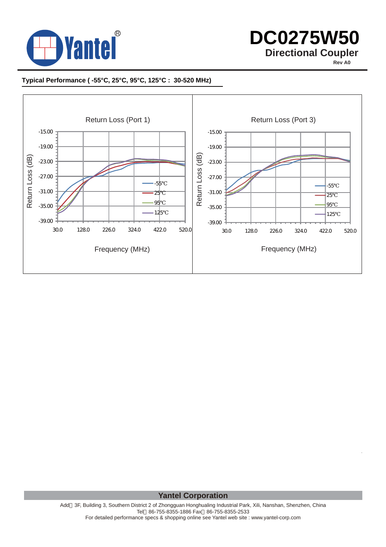

# **DC0275W50 Directional Coupler**

**Rev A0**

# **Typical Performance ( -55°C, 25°C, 95°C, 125°C : 30-520 MHz)**



**Yantel Corporation**

Add 3F, Building 3, Southern District 2 of Zhongguan Honghualing Industrial Park, Xili, Nanshan, Shenzhen, China Tel 86-755-8355-1886 Fax 86-755-8355-2533 For detailed performance specs & shopping online see Yantel web site : www.yantel-corp.com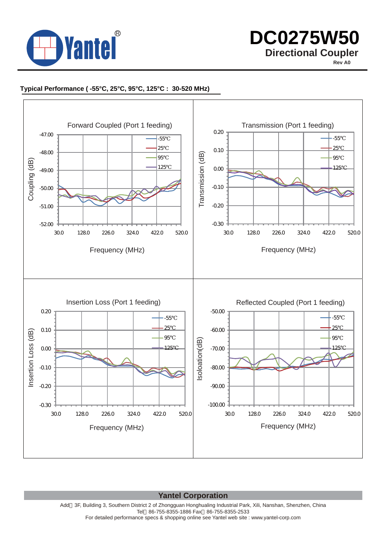

 **DC0275W50 Directional Coupler**

**Rev A0**

# **Typical Performance ( -55°C, 25°C, 95°C, 125°C : 30-520 MHz)**



**Yantel Corporation**

Add 3F, Building 3, Southern District 2 of Zhongguan Honghualing Industrial Park, Xili, Nanshan, Shenzhen, China Tel 86-755-8355-1886 Fax 86-755-8355-2533 For detailed performance specs & shopping online see Yantel web site : www.yantel-corp.com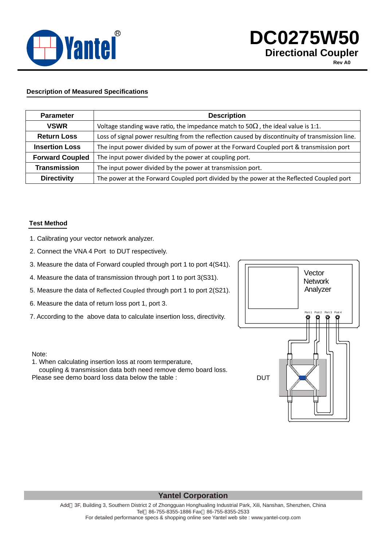

# **DC0275W50 Directional Coupler**

**Rev A0**

# **Description of Measured Specifications**

| <b>Parameter</b>       | <b>Description</b>                                                                               |
|------------------------|--------------------------------------------------------------------------------------------------|
| <b>VSWR</b>            | Voltage standing wave ratio, the impedance match to 50<br>the ideal value is 1:1.                |
| <b>Return Loss</b>     | Loss of signal power resulting from the reflection caused by discontinuity of transmission line. |
| <b>Insertion Loss</b>  | The input power divided by sum of power at the Forward Coupled port & transmission port          |
| <b>Forward Coupled</b> | The input power divided by the power at coupling port.                                           |
| <b>Transmission</b>    | The input power divided by the power at transmission port.                                       |
| <b>Directivity</b>     | The power at the Forward Coupled port divided by the power at the Reflected Coupled port         |

#### **Test Method**

- 1. Calibrating your vector network analyzer.
- 2. Connect the VNA 4 Port to DUT respectively.
- 3. Measure the data of Forward coupled through port 1 to port 4(S41).
- 4. Measure the data of transmission through port 1 to port 3(S31).
- 5. Measure the data of Reflected Coupled through port 1 to port 2(S21).
- 6. Measure the data of return loss port 1, port 3.
- 7. According to the above data to calculate insertion loss, directivity.



#### Note:

1. When calculating insertion loss at room termperature,

 coupling & transmission data both need remove demo board loss. Please see demo board loss data below the table :

## **Yantel Corporation**

Add 3F, Building 3, Southern District 2 of Zhongguan Honghualing Industrial Park, Xili, Nanshan, Shenzhen, China Tel 86-755-8355-1886 Fax 86-755-8355-2533 For detailed performance specs & shopping online see Yantel web site : www.yantel-corp.com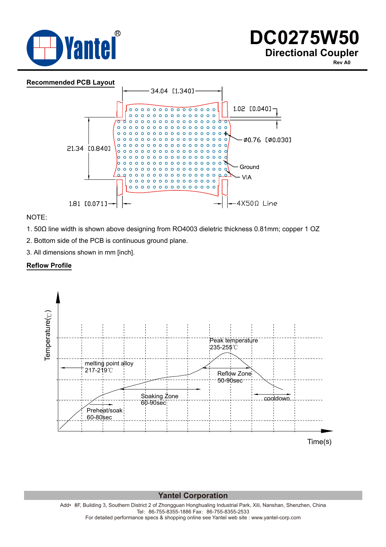

**Rev A0**



NOTE:

1. 50Ω line width is shown above designing from RO4003 dieletric thickness 0.81mm; copper 1 OZ

2. Bottom side of the PCB is continuous ground plane.

3. All dimensions shown in mm [inch].

#### **Reflow Profile**



**Yantel Corporation**

Add• •3F, Building 3, Southern District 2 of Zhongguan Honghualing Industrial Park, Xili, Nanshan, Shenzhen, China Tel:86-755-8355-1886 Fax:86-755-8355-2533 For detailed performance specs & shopping online see Yantel web site : www.yantel-corp.com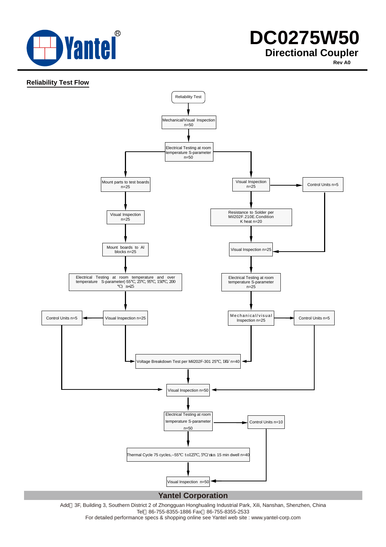

**Rev A0**

### **Reliability Test Flow**



Add 3F, Building 3, Southern District 2 of Zhongguan Honghualing Industrial Park, Xili, Nanshan, Shenzhen, China Tel 86-755-8355-1886 Fax 86-755-8355-2533

For detailed performance specs & shopping online see Yantel web site : www.yantel-corp.com